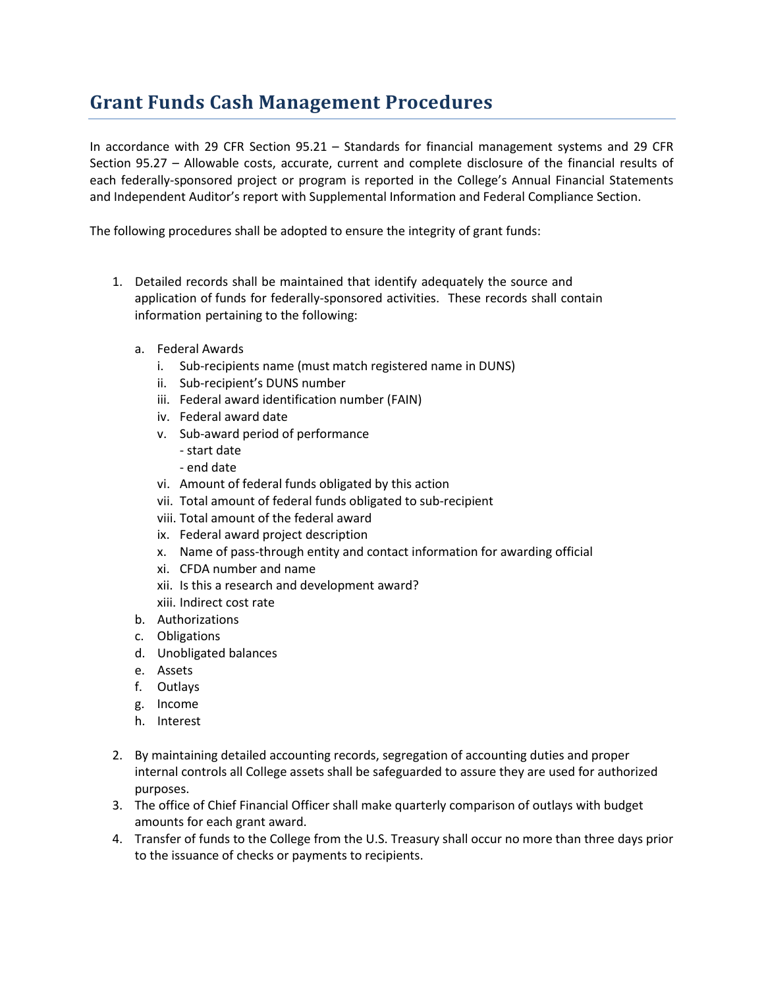## **Grant Funds Cash Management Procedures**

In accordance with 29 CFR Section 95.21 – Standards for financial management systems and 29 CFR Section 95.27 – Allowable costs, accurate, current and complete disclosure of the financial results of each federally-sponsored project or program is reported in the College's Annual Financial Statements and Independent Auditor's report with Supplemental Information and Federal Compliance Section.

The following procedures shall be adopted to ensure the integrity of grant funds:

- 1. Detailed records shall be maintained that identify adequately the source and application of funds for federally-sponsored activities. These records shall contain information pertaining to the following:
	- a. Federal Awards
		- i. Sub-recipients name (must match registered name in DUNS)
		- ii. Sub-recipient's DUNS number
		- iii. Federal award identification number (FAIN)
		- iv. Federal award date
		- v. Sub-award period of performance
			- start date
			- end date
		- vi. Amount of federal funds obligated by this action
		- vii. Total amount of federal funds obligated to sub-recipient
		- viii. Total amount of the federal award
		- ix. Federal award project description
		- x. Name of pass-through entity and contact information for awarding official
		- xi. CFDA number and name
		- xii. Is this a research and development award?
		- xiii. Indirect cost rate
	- b. Authorizations
	- c. Obligations
	- d. Unobligated balances
	- e. Assets
	- f. Outlays
	- g. Income
	- h. Interest
- 2. By maintaining detailed accounting records, segregation of accounting duties and proper internal controls all College assets shall be safeguarded to assure they are used for authorized purposes.
- 3. The office of Chief Financial Officer shall make quarterly comparison of outlays with budget amounts for each grant award.
- 4. Transfer of funds to the College from the U.S. Treasury shall occur no more than three days prior to the issuance of checks or payments to recipients.